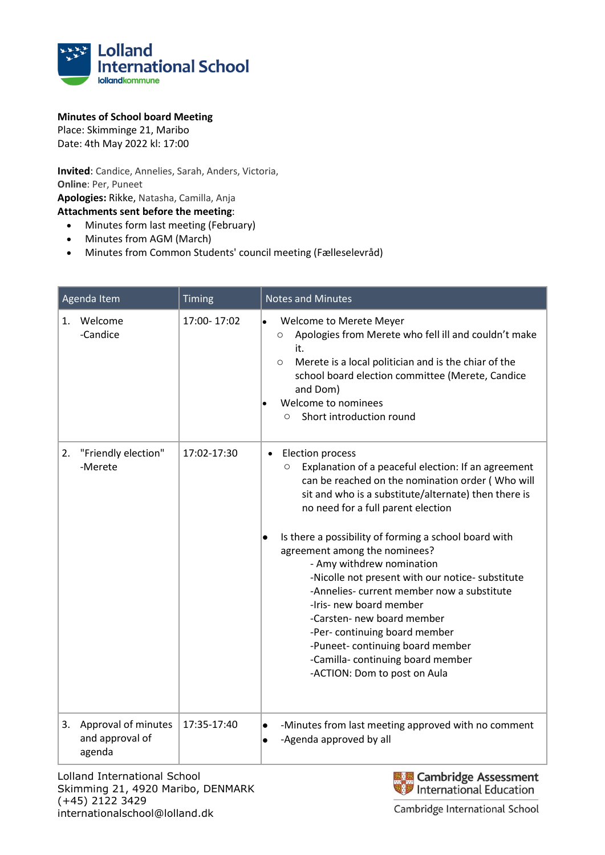

## **Minutes of School board Meeting**

Place: Skimminge 21, Maribo Date: 4th May 2022 kl: 17:00

**Invited**: Candice, Annelies, Sarah, Anders, Victoria, **Online**: Per, Puneet **Apologies:** Rikke, Natasha, Camilla, Anja **Attachments sent before the meeting**:

- Minutes form last meeting (February)
- Minutes from AGM (March)
- Minutes from Common Students' council meeting (Fælleselevråd)

| Agenda Item                                            | Timing      | <b>Notes and Minutes</b>                                                                                                                                                                                                                                                                                                                                                                                                                                                                                                                                                                                                                                              |
|--------------------------------------------------------|-------------|-----------------------------------------------------------------------------------------------------------------------------------------------------------------------------------------------------------------------------------------------------------------------------------------------------------------------------------------------------------------------------------------------------------------------------------------------------------------------------------------------------------------------------------------------------------------------------------------------------------------------------------------------------------------------|
| 1. Welcome<br>-Candice                                 | 17:00-17:02 | Welcome to Merete Meyer<br>l.<br>Apologies from Merete who fell ill and couldn't make<br>$\circ$<br>it.<br>Merete is a local politician and is the chiar of the<br>$\circ$<br>school board election committee (Merete, Candice<br>and Dom)<br>Welcome to nominees<br>Short introduction round<br>$\Omega$                                                                                                                                                                                                                                                                                                                                                             |
| "Friendly election"<br>2.<br>-Merete                   | 17:02-17:30 | Election process<br>$\bullet$<br>Explanation of a peaceful election: If an agreement<br>O<br>can be reached on the nomination order (Who will<br>sit and who is a substitute/alternate) then there is<br>no need for a full parent election<br>Is there a possibility of forming a school board with<br>agreement among the nominees?<br>- Amy withdrew nomination<br>-Nicolle not present with our notice- substitute<br>-Annelies- current member now a substitute<br>-Iris- new board member<br>-Carsten- new board member<br>-Per- continuing board member<br>-Puneet-continuing board member<br>-Camilla-continuing board member<br>-ACTION: Dom to post on Aula |
| Approval of minutes<br>3.<br>and approval of<br>agenda | 17:35-17:40 | -Minutes from last meeting approved with no comment<br>$\bullet$<br>-Agenda approved by all<br>$\bullet$                                                                                                                                                                                                                                                                                                                                                                                                                                                                                                                                                              |

Lolland International School Skimming 21, 4920 Maribo, DENMARK (+45) 2122 3429 internationalschool@lolland.dk

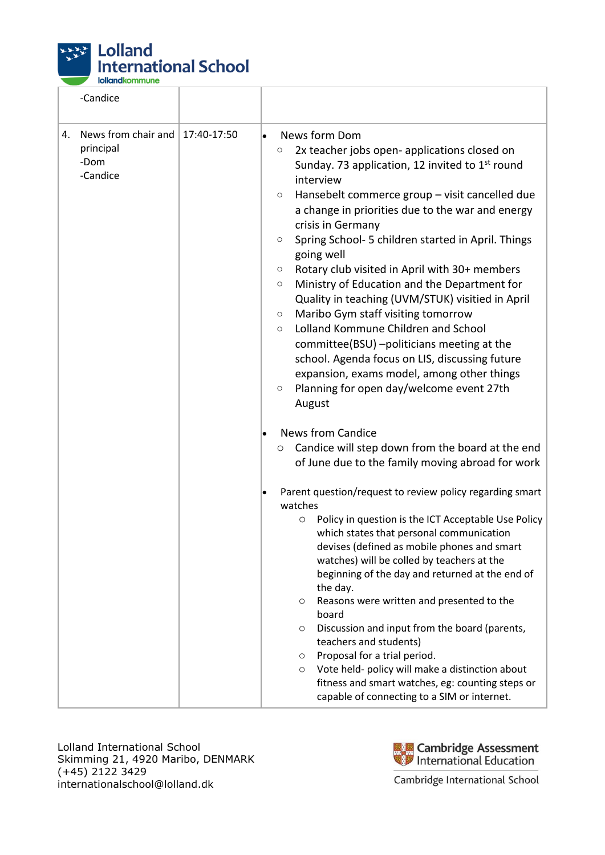

|    | -Candice                                             |             |           |                                                                                                                                                                                                                                                                                                                                                                                                                                                                                                                                                                                                                                                                                                                                                                                                                                                                                                                                                                                                           |
|----|------------------------------------------------------|-------------|-----------|-----------------------------------------------------------------------------------------------------------------------------------------------------------------------------------------------------------------------------------------------------------------------------------------------------------------------------------------------------------------------------------------------------------------------------------------------------------------------------------------------------------------------------------------------------------------------------------------------------------------------------------------------------------------------------------------------------------------------------------------------------------------------------------------------------------------------------------------------------------------------------------------------------------------------------------------------------------------------------------------------------------|
| 4. | News from chair and<br>principal<br>-Dom<br>-Candice | 17:40-17:50 | $\bullet$ | News form Dom<br>2x teacher jobs open- applications closed on<br>O<br>Sunday. 73 application, 12 invited to 1 <sup>st</sup> round<br>interview<br>Hansebelt commerce group - visit cancelled due<br>$\circ$<br>a change in priorities due to the war and energy<br>crisis in Germany<br>Spring School- 5 children started in April. Things<br>$\circ$<br>going well<br>Rotary club visited in April with 30+ members<br>$\circ$<br>Ministry of Education and the Department for<br>$\circ$<br>Quality in teaching (UVM/STUK) visitied in April<br>Maribo Gym staff visiting tomorrow<br>$\circ$<br>Lolland Kommune Children and School<br>$\circ$<br>committee(BSU) -politicians meeting at the<br>school. Agenda focus on LIS, discussing future<br>expansion, exams model, among other things<br>Planning for open day/welcome event 27th<br>O<br>August<br><b>News from Candice</b><br>Candice will step down from the board at the end<br>$\circ$<br>of June due to the family moving abroad for work |
|    |                                                      |             |           | Parent question/request to review policy regarding smart<br>watches<br>Policy in question is the ICT Acceptable Use Policy<br>$\circ$<br>which states that personal communication<br>devises (defined as mobile phones and smart<br>watches) will be colled by teachers at the<br>beginning of the day and returned at the end of<br>the day.<br>Reasons were written and presented to the<br>$\circ$<br>board<br>Discussion and input from the board (parents,<br>$\circ$<br>teachers and students)<br>Proposal for a trial period.<br>$\circ$<br>Vote held- policy will make a distinction about<br>$\circ$<br>fitness and smart watches, eg: counting steps or<br>capable of connecting to a SIM or internet.                                                                                                                                                                                                                                                                                          |

Lolland International School Skimming 21, 4920 Maribo, DENMARK (+45) 2122 3429 internationalschool@lolland.dk



٦

Cambridge International School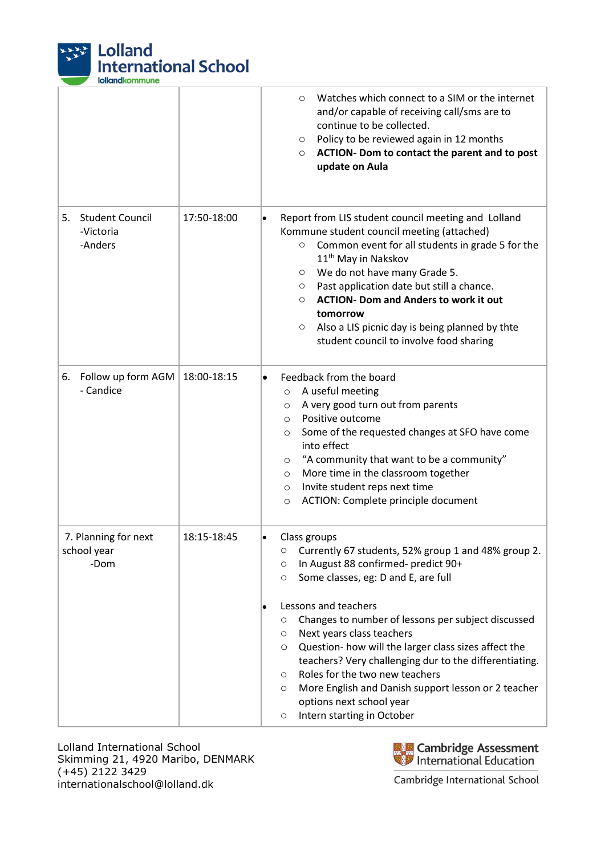

|                                                      |             | Watches which connect to a SIM or the internet<br>$\circ$<br>and/or capable of receiving call/sms are to<br>continue to be collected.<br>Policy to be reviewed again in 12 months<br>$\circ$<br>ACTION- Dom to contact the parent and to post<br>$\circ$<br>update on Aula                                                                                                                                                                                                                                                                                                     |
|------------------------------------------------------|-------------|--------------------------------------------------------------------------------------------------------------------------------------------------------------------------------------------------------------------------------------------------------------------------------------------------------------------------------------------------------------------------------------------------------------------------------------------------------------------------------------------------------------------------------------------------------------------------------|
| <b>Student Council</b><br>5.<br>-Victoria<br>-Anders | 17:50-18:00 | Report from LIS student council meeting and Lolland<br>Kommune student council meeting (attached)<br>Common event for all students in grade 5 for the<br>$\circ$<br>11 <sup>th</sup> May in Nakskov<br>We do not have many Grade 5.<br>$\circ$<br>Past application date but still a chance.<br>$\circ$<br><b>ACTION- Dom and Anders to work it out</b><br>$\circ$<br>tomorrow<br>Also a LIS picnic day is being planned by thte<br>$\circ$<br>student council to involve food sharing                                                                                          |
| 6. Follow up form AGM<br>- Candice                   | 18:00-18:15 | Feedback from the board<br>A useful meeting<br>$\circ$<br>A very good turn out from parents<br>$\circ$<br>Positive outcome<br>$\circ$<br>Some of the requested changes at SFO have come<br>$\circ$<br>into effect<br>"A community that want to be a community"<br>$\circ$<br>More time in the classroom together<br>$\circ$<br>Invite student reps next time<br>$\circ$<br>ACTION: Complete principle document<br>O                                                                                                                                                            |
| 7. Planning for next<br>school year<br>-Dom          | 18:15-18:45 | Class groups<br>Currently 67 students, 52% group 1 and 48% group 2.<br>O<br>In August 88 confirmed- predict 90+<br>O<br>Some classes, eg: D and E, are full<br>O<br>Lessons and teachers<br>Changes to number of lessons per subject discussed<br>O<br>Next years class teachers<br>O<br>Question- how will the larger class sizes affect the<br>O<br>teachers? Very challenging dur to the differentiating.<br>Roles for the two new teachers<br>O<br>More English and Danish support lesson or 2 teacher<br>O<br>options next school year<br>Intern starting in October<br>O |

Lolland International School Skimming 21, 4920 Maribo, DENMARK (+45) 2122 3429 internationalschool@lolland.dk



Cambridge International School